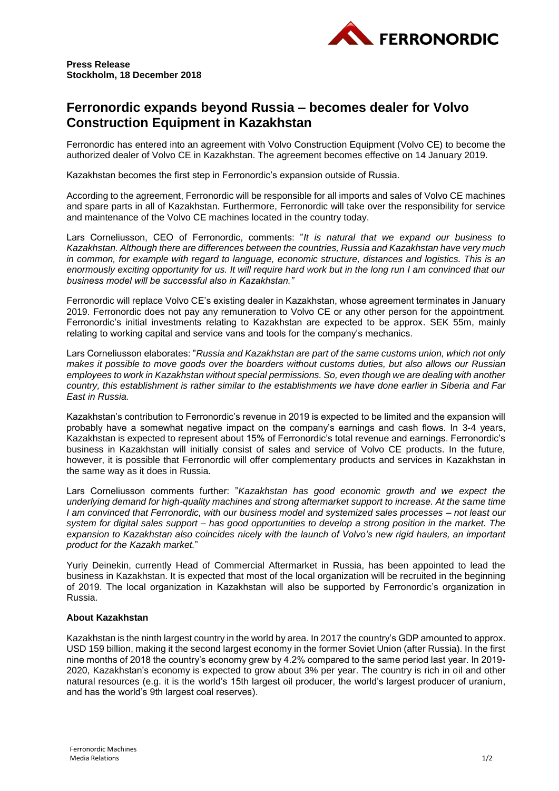

**Press Release Stockholm, 18 December 2018**

## **Ferronordic expands beyond Russia – becomes dealer for Volvo Construction Equipment in Kazakhstan**

Ferronordic has entered into an agreement with Volvo Construction Equipment (Volvo CE) to become the authorized dealer of Volvo CE in Kazakhstan. The agreement becomes effective on 14 January 2019.

Kazakhstan becomes the first step in Ferronordic's expansion outside of Russia.

According to the agreement, Ferronordic will be responsible for all imports and sales of Volvo CE machines and spare parts in all of Kazakhstan. Furthermore, Ferronordic will take over the responsibility for service and maintenance of the Volvo CE machines located in the country today.

Lars Corneliusson, CEO of Ferronordic, comments: "*It is natural that we expand our business to Kazakhstan. Although there are differences between the countries, Russia and Kazakhstan have very much in common, for example with regard to language, economic structure, distances and logistics. This is an enormously exciting opportunity for us. It will require hard work but in the long run I am convinced that our business model will be successful also in Kazakhstan."*

Ferronordic will replace Volvo CE's existing dealer in Kazakhstan, whose agreement terminates in January 2019. Ferronordic does not pay any remuneration to Volvo CE or any other person for the appointment. Ferronordic's initial investments relating to Kazakhstan are expected to be approx. SEK 55m, mainly relating to working capital and service vans and tools for the company's mechanics.

Lars Corneliusson elaborates: "*Russia and Kazakhstan are part of the same customs union, which not only makes it possible to move goods over the boarders without customs duties, but also allows our Russian employees to work in Kazakhstan without special permissions. So, even though we are dealing with another country, this establishment is rather similar to the establishments we have done earlier in Siberia and Far East in Russia.*

Kazakhstan's contribution to Ferronordic's revenue in 2019 is expected to be limited and the expansion will probably have a somewhat negative impact on the company's earnings and cash flows. In 3-4 years, Kazakhstan is expected to represent about 15% of Ferronordic's total revenue and earnings. Ferronordic's business in Kazakhstan will initially consist of sales and service of Volvo CE products. In the future, however, it is possible that Ferronordic will offer complementary products and services in Kazakhstan in the same way as it does in Russia.

Lars Corneliusson comments further: "*Kazakhstan has good economic growth and we expect the underlying demand for high-quality machines and strong aftermarket support to increase. At the same time I am convinced that Ferronordic, with our business model and systemized sales processes – not least our system for digital sales support – has good opportunities to develop a strong position in the market. The expansion to Kazakhstan also coincides nicely with the launch of Volvo's new rigid haulers, an important product for the Kazakh market.*"

Yuriy Deinekin, currently Head of Commercial Aftermarket in Russia, has been appointed to lead the business in Kazakhstan. It is expected that most of the local organization will be recruited in the beginning of 2019. The local organization in Kazakhstan will also be supported by Ferronordic's organization in Russia.

## **About Kazakhstan**

Kazakhstan is the ninth largest country in the world by area. In 2017 the country's GDP amounted to approx. USD 159 billion, making it the second largest economy in the former Soviet Union (after Russia). In the first nine months of 2018 the country's economy grew by 4.2% compared to the same period last year. In 2019- 2020, Kazakhstan's economy is expected to grow about 3% per year. The country is rich in oil and other natural resources (e.g. it is the world's 15th largest oil producer, the world's largest producer of uranium, and has the world's 9th largest coal reserves).